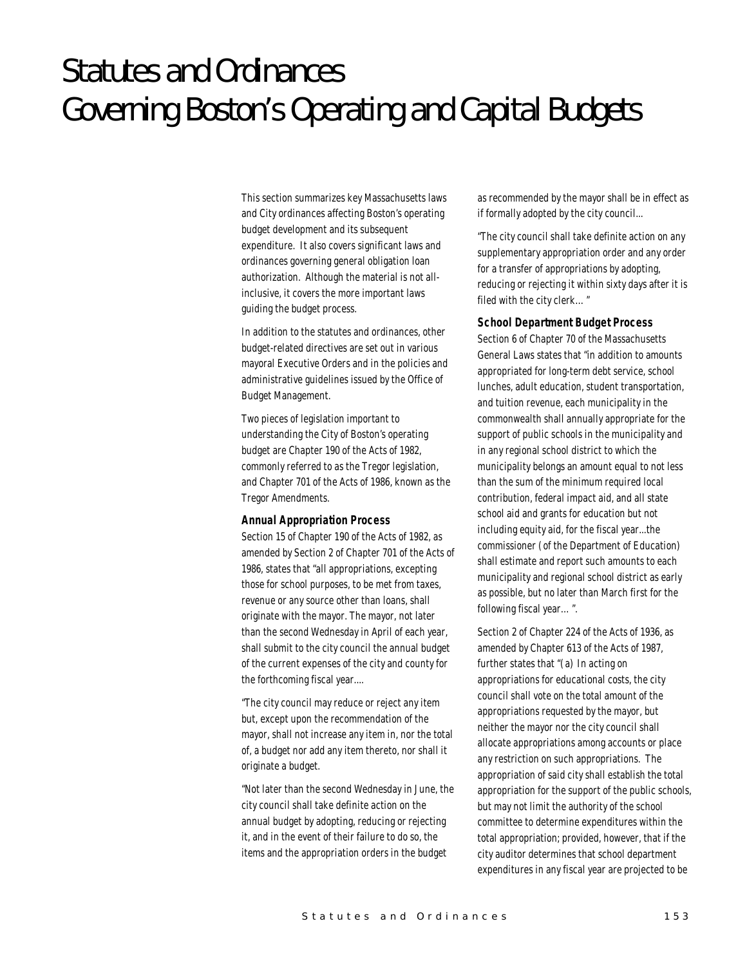# Statutes and Ordinances Governing Boston's Operating and Capital Budgets

This section summarizes key Massachusetts laws and City ordinances affecting Boston's operating budget development and its subsequent expenditure. It also covers significant laws and ordinances governing general obligation loan authorization. Although the material is not allinclusive, it covers the more important laws guiding the budget process.

In addition to the statutes and ordinances, other budget-related directives are set out in various mayoral Executive Orders and in the policies and administrative guidelines issued by the Office of Budget Management.

Two pieces of legislation important to understanding the City of Boston's operating budget are Chapter 190 of the Acts of 1982, commonly referred to as the Tregor legislation, and Chapter 701 of the Acts of 1986, known as the Tregor Amendments.

#### *Annual Appropriation Process*

Section 15 of Chapter 190 of the Acts of 1982, as amended by Section 2 of Chapter 701 of the Acts of 1986, states that "all appropriations, excepting those for school purposes, to be met from taxes, revenue or any source other than loans, shall originate with the mayor. The mayor, not later than the second Wednesday in April of each year, shall submit to the city council the annual budget of the current expenses of the city and county for the forthcoming fiscal year....

"The city council may reduce or reject any item but, except upon the recommendation of the mayor, shall not increase any item in, nor the total of, a budget nor add any item thereto, nor shall it originate a budget.

"Not later than the second Wednesday in June, the city council shall take definite action on the annual budget by adopting, reducing or rejecting it, and in the event of their failure to do so, the items and the appropriation orders in the budget

as recommended by the mayor shall be in effect as if formally adopted by the city council...

"The city council shall take definite action on any supplementary appropriation order and any order for a transfer of appropriations by adopting, reducing or rejecting it within sixty days after it is filed with the city clerk…"

#### *School Department Budget Process*

Section 6 of Chapter 70 of the Massachusetts General Laws states that "in addition to amounts appropriated for long-term debt service, school lunches, adult education, student transportation, and tuition revenue, each municipality in the commonwealth shall annually appropriate for the support of public schools in the municipality and in any regional school district to which the municipality belongs an amount equal to not less than the sum of the minimum required local contribution, federal impact aid, and all state school aid and grants for education but not including equity aid, for the fiscal year...the commissioner (of the Department of Education) shall estimate and report such amounts to each municipality and regional school district as early as possible, but no later than March first for the following fiscal year…".

Section 2 of Chapter 224 of the Acts of 1936, as amended by Chapter 613 of the Acts of 1987, further states that "(a) In acting on appropriations for educational costs, the city council shall vote on the total amount of the appropriations requested by the mayor, but neither the mayor nor the city council shall allocate appropriations among accounts or place any restriction on such appropriations. The appropriation of said city shall establish the total appropriation for the support of the public schools, but may not limit the authority of the school committee to determine expenditures within the total appropriation; provided, however, that if the city auditor determines that school department expenditures in any fiscal year are projected to be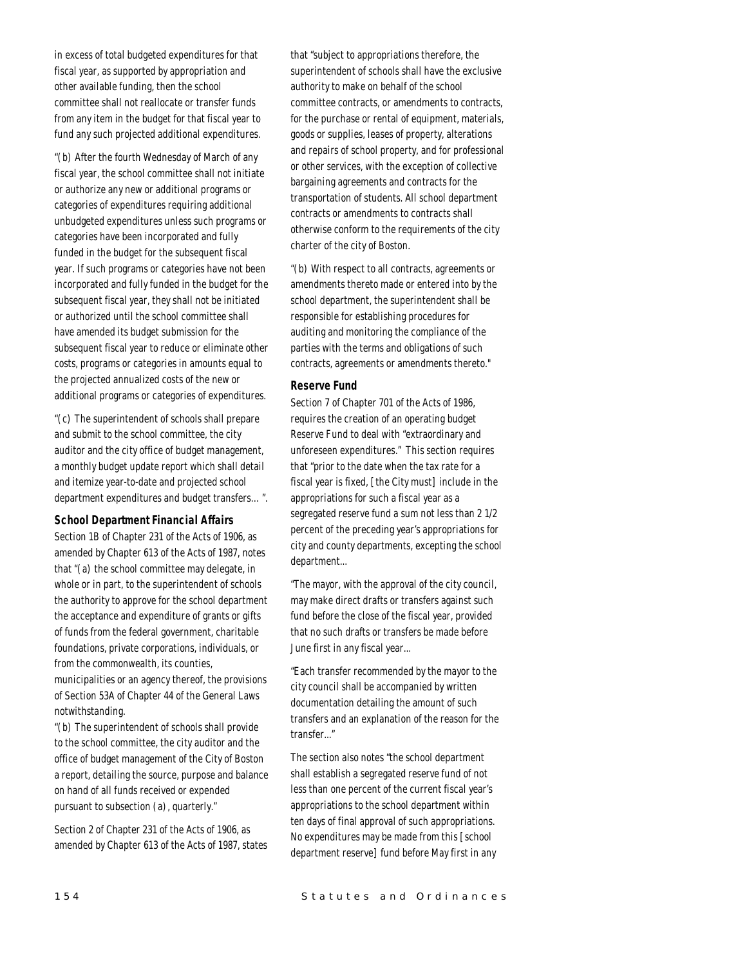in excess of total budgeted expenditures for that fiscal year, as supported by appropriation and other available funding, then the school committee shall not reallocate or transfer funds from any item in the budget for that fiscal year to fund any such projected additional expenditures.

"(b) After the fourth Wednesday of March of any fiscal year, the school committee shall not initiate or authorize any new or additional programs or categories of expenditures requiring additional unbudgeted expenditures unless such programs or categories have been incorporated and fully funded in the budget for the subsequent fiscal year. If such programs or categories have not been incorporated and fully funded in the budget for the subsequent fiscal year, they shall not be initiated or authorized until the school committee shall have amended its budget submission for the subsequent fiscal year to reduce or eliminate other costs, programs or categories in amounts equal to the projected annualized costs of the new or additional programs or categories of expenditures.

"(c) The superintendent of schools shall prepare and submit to the school committee, the city auditor and the city office of budget management, a monthly budget update report which shall detail and itemize year-to-date and projected school department expenditures and budget transfers…".

#### *School Department Financial Affairs*

Section 1B of Chapter 231 of the Acts of 1906, as amended by Chapter 613 of the Acts of 1987, notes that "(a) the school committee may delegate, in whole or in part, to the superintendent of schools the authority to approve for the school department the acceptance and expenditure of grants or gifts of funds from the federal government, charitable foundations, private corporations, individuals, or from the commonwealth, its counties, municipalities or an agency thereof, the provisions of Section 53A of Chapter 44 of the General Laws

notwithstanding. "(b) The superintendent of schools shall provide to the school committee, the city auditor and the office of budget management of the City of Boston a report, detailing the source, purpose and balance on hand of all funds received or expended

Section 2 of Chapter 231 of the Acts of 1906, as amended by Chapter 613 of the Acts of 1987, states

pursuant to subsection (a), quarterly."

that "subject to appropriations therefore, the superintendent of schools shall have the exclusive authority to make on behalf of the school committee contracts, or amendments to contracts, for the purchase or rental of equipment, materials, goods or supplies, leases of property, alterations and repairs of school property, and for professional or other services, with the exception of collective bargaining agreements and contracts for the transportation of students. All school department contracts or amendments to contracts shall otherwise conform to the requirements of the city charter of the city of Boston.

"(b) With respect to all contracts, agreements or amendments thereto made or entered into by the school department, the superintendent shall be responsible for establishing procedures for auditing and monitoring the compliance of the parties with the terms and obligations of such contracts, agreements or amendments thereto."

#### *Reserve Fund*

Section 7 of Chapter 701 of the Acts of 1986, requires the creation of an operating budget Reserve Fund to deal with "extraordinary and unforeseen expenditures." This section requires that "prior to the date when the tax rate for a fiscal year is fixed, [the City must] include in the appropriations for such a fiscal year as a segregated reserve fund a sum not less than 2 1/2 percent of the preceding year's appropriations for city and county departments, excepting the school department...

"The mayor, with the approval of the city council, may make direct drafts or transfers against such fund before the close of the fiscal year, provided that no such drafts or transfers be made before June first in any fiscal year...

"Each transfer recommended by the mayor to the city council shall be accompanied by written documentation detailing the amount of such transfers and an explanation of the reason for the transfer..."

The section also notes "the school department shall establish a segregated reserve fund of not less than one percent of the current fiscal year's appropriations to the school department within ten days of final approval of such appropriations. No expenditures may be made from this [school department reserve] fund before May first in any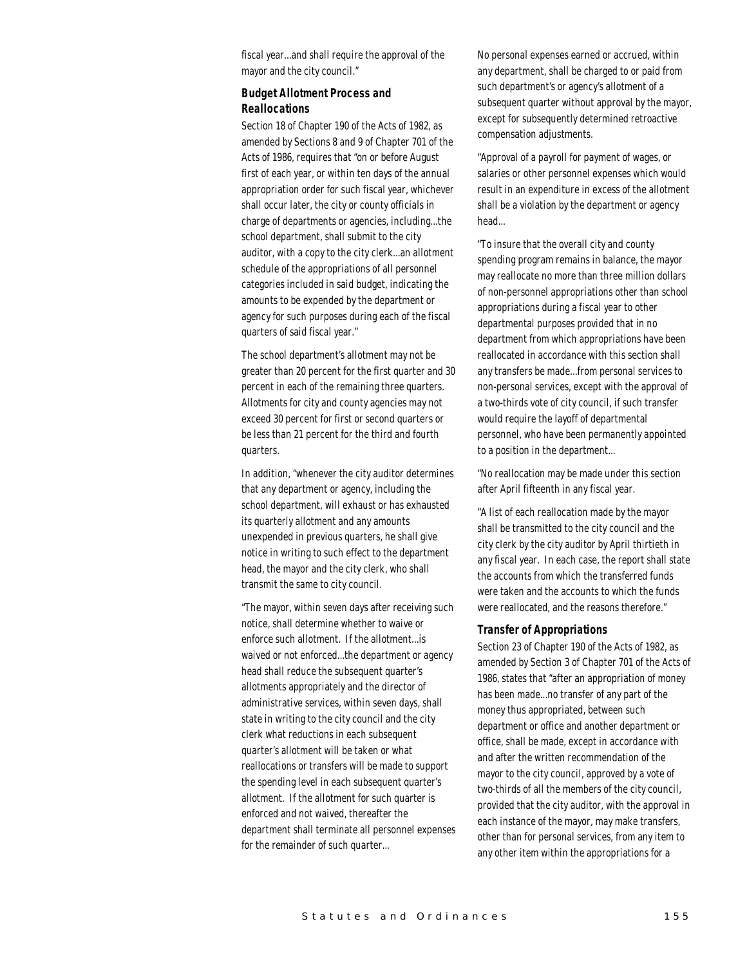fiscal year...and shall require the approval of the mayor and the city council."

## *Budget Allotment Process and Reallocations*

Section 18 of Chapter 190 of the Acts of 1982, as amended by Sections 8 and 9 of Chapter 701 of the Acts of 1986, requires that "on or before August first of each year, or within ten days of the annual appropriation order for such fiscal year, whichever shall occur later, the city or county officials in charge of departments or agencies, including...the school department, shall submit to the city auditor, with a copy to the city clerk...an allotment schedule of the appropriations of all personnel categories included in said budget, indicating the amounts to be expended by the department or agency for such purposes during each of the fiscal quarters of said fiscal year."

The school department's allotment may not be greater than 20 percent for the first quarter and 30 percent in each of the remaining three quarters. Allotments for city and county agencies may not exceed 30 percent for first or second quarters or be less than 21 percent for the third and fourth quarters.

In addition, "whenever the city auditor determines that any department or agency, including the school department, will exhaust or has exhausted its quarterly allotment and any amounts unexpended in previous quarters, he shall give notice in writing to such effect to the department head, the mayor and the city clerk, who shall transmit the same to city council.

"The mayor, within seven days after receiving such notice, shall determine whether to waive or enforce such allotment. If the allotment...is waived or not enforced...the department or agency head shall reduce the subsequent quarter's allotments appropriately and the director of administrative services, within seven days, shall state in writing to the city council and the city clerk what reductions in each subsequent quarter's allotment will be taken or what reallocations or transfers will be made to support the spending level in each subsequent quarter's allotment. If the allotment for such quarter is enforced and not waived, thereafter the department shall terminate all personnel expenses for the remainder of such quarter...

No personal expenses earned or accrued, within any department, shall be charged to or paid from such department's or agency's allotment of a subsequent quarter without approval by the mayor, except for subsequently determined retroactive compensation adjustments.

"Approval of a payroll for payment of wages, or salaries or other personnel expenses which would result in an expenditure in excess of the allotment shall be a violation by the department or agency head...

"To insure that the overall city and county spending program remains in balance, the mayor may reallocate no more than three million dollars of non-personnel appropriations other than school appropriations during a fiscal year to other departmental purposes provided that in no department from which appropriations have been reallocated in accordance with this section shall any transfers be made...from personal services to non-personal services, except with the approval of a two-thirds vote of city council, if such transfer would require the layoff of departmental personnel, who have been permanently appointed to a position in the department...

"No reallocation may be made under this section after April fifteenth in any fiscal year.

"A list of each reallocation made by the mayor shall be transmitted to the city council and the city clerk by the city auditor by April thirtieth in any fiscal year. In each case, the report shall state the accounts from which the transferred funds were taken and the accounts to which the funds were reallocated, and the reasons therefore."

#### *Transfer of Appropriations*

Section 23 of Chapter 190 of the Acts of 1982, as amended by Section 3 of Chapter 701 of the Acts of 1986, states that "after an appropriation of money has been made...no transfer of any part of the money thus appropriated, between such department or office and another department or office, shall be made, except in accordance with and after the written recommendation of the mayor to the city council, approved by a vote of two-thirds of all the members of the city council, provided that the city auditor, with the approval in each instance of the mayor, may make transfers, other than for personal services, from any item to any other item within the appropriations for a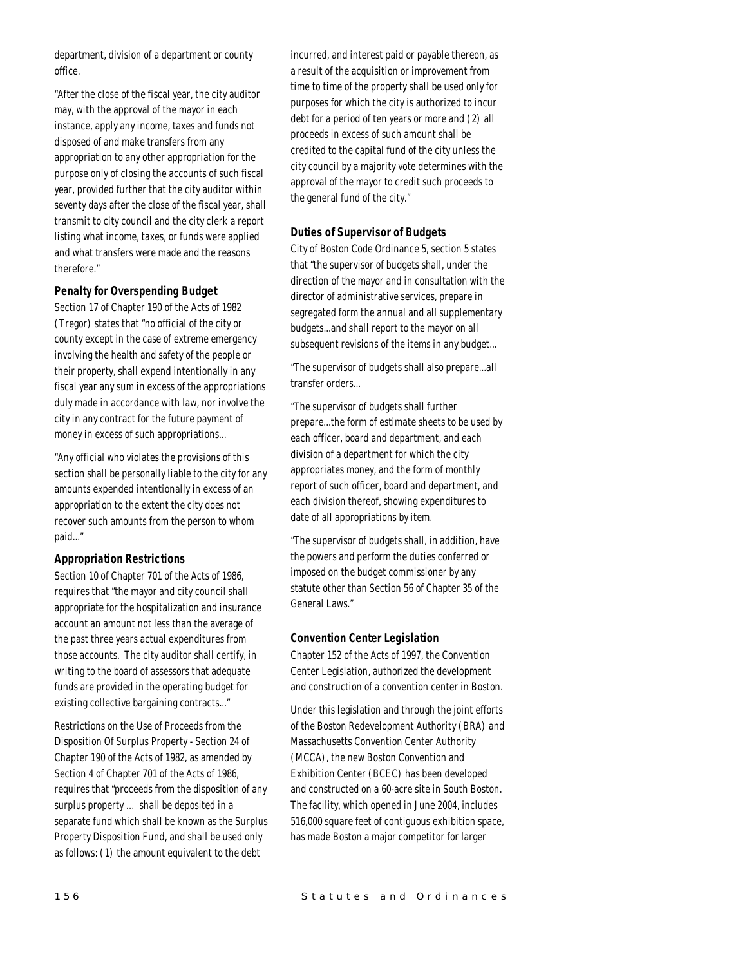department, division of a department or county office.

"After the close of the fiscal year, the city auditor may, with the approval of the mayor in each instance, apply any income, taxes and funds not disposed of and make transfers from any appropriation to any other appropriation for the purpose only of closing the accounts of such fiscal year, provided further that the city auditor within seventy days after the close of the fiscal year, shall transmit to city council and the city clerk a report listing what income, taxes, or funds were applied and what transfers were made and the reasons therefore."

## *Penalty for Overspending Budget*

Section 17 of Chapter 190 of the Acts of 1982 (Tregor) states that "no official of the city or county except in the case of extreme emergency involving the health and safety of the people or their property, shall expend intentionally in any fiscal year any sum in excess of the appropriations duly made in accordance with law, nor involve the city in any contract for the future payment of money in excess of such appropriations...

"Any official who violates the provisions of this section shall be personally liable to the city for any amounts expended intentionally in excess of an appropriation to the extent the city does not recover such amounts from the person to whom paid..."

## *Appropriation Restrictions*

Section 10 of Chapter 701 of the Acts of 1986, requires that "the mayor and city council shall appropriate for the hospitalization and insurance account an amount not less than the average of the past three years actual expenditures from those accounts. The city auditor shall certify, in writing to the board of assessors that adequate funds are provided in the operating budget for existing collective bargaining contracts..."

Restrictions on the Use of Proceeds from the Disposition Of Surplus Property - Section 24 of Chapter 190 of the Acts of 1982, as amended by Section 4 of Chapter 701 of the Acts of 1986, requires that "proceeds from the disposition of any surplus property … shall be deposited in a separate fund which shall be known as the Surplus Property Disposition Fund, and shall be used only as follows: (1) the amount equivalent to the debt

incurred, and interest paid or payable thereon, as a result of the acquisition or improvement from time to time of the property shall be used only for purposes for which the city is authorized to incur debt for a period of ten years or more and (2) all proceeds in excess of such amount shall be credited to the capital fund of the city unless the city council by a majority vote determines with the approval of the mayor to credit such proceeds to the general fund of the city."

## *Duties of Supervisor of Budgets*

City of Boston Code Ordinance 5, section 5 states that "the supervisor of budgets shall, under the direction of the mayor and in consultation with the director of administrative services, prepare in segregated form the annual and all supplementary budgets...and shall report to the mayor on all subsequent revisions of the items in any budget...

"The supervisor of budgets shall also prepare...all transfer orders...

"The supervisor of budgets shall further prepare...the form of estimate sheets to be used by each officer, board and department, and each division of a department for which the city appropriates money, and the form of monthly report of such officer, board and department, and each division thereof, showing expenditures to date of all appropriations by item.

"The supervisor of budgets shall, in addition, have the powers and perform the duties conferred or imposed on the budget commissioner by any statute other than Section 56 of Chapter 35 of the General Laws."

#### *Convention Center Legislation*

Chapter 152 of the Acts of 1997, the Convention Center Legislation, authorized the development and construction of a convention center in Boston.

Under this legislation and through the joint efforts of the Boston Redevelopment Authority (BRA) and Massachusetts Convention Center Authority (MCCA), the new Boston Convention and Exhibition Center (BCEC) has been developed and constructed on a 60-acre site in South Boston. The facility, which opened in June 2004, includes 516,000 square feet of contiguous exhibition space, has made Boston a major competitor for larger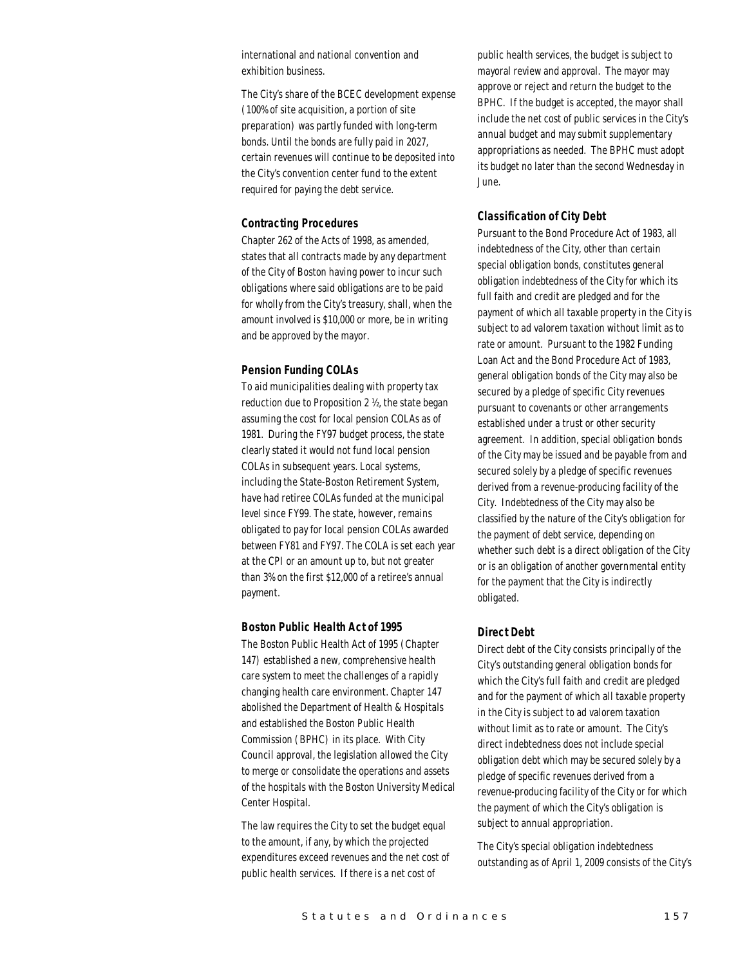international and national convention and exhibition business.

The City's share of the BCEC development expense (100% of site acquisition, a portion of site preparation) was partly funded with long-term bonds. Until the bonds are fully paid in 2027, certain revenues will continue to be deposited into the City's convention center fund to the extent required for paying the debt service.

#### *Contracting Procedures*

Chapter 262 of the Acts of 1998, as amended, states that all contracts made by any department of the City of Boston having power to incur such obligations where said obligations are to be paid for wholly from the City's treasury, shall, when the amount involved is \$10,000 or more, be in writing and be approved by the mayor.

#### *Pension Funding COLAs*

To aid municipalities dealing with property tax reduction due to Proposition 2 ½, the state began assuming the cost for local pension COLAs as of 1981. During the FY97 budget process, the state clearly stated it would not fund local pension COLAs in subsequent years. Local systems, including the State-Boston Retirement System, have had retiree COLAs funded at the municipal level since FY99. The state, however, remains obligated to pay for local pension COLAs awarded between FY81 and FY97. The COLA is set each year at the CPI or an amount up to, but not greater than 3% on the first \$12,000 of a retiree's annual payment.

#### *Boston Public Health Act of 1995*

The Boston Public Health Act of 1995 (Chapter 147) established a new, comprehensive health care system to meet the challenges of a rapidly changing health care environment. Chapter 147 abolished the Department of Health & Hospitals and established the Boston Public Health Commission (BPHC) in its place. With City Council approval, the legislation allowed the City to merge or consolidate the operations and assets of the hospitals with the Boston University Medical Center Hospital.

The law requires the City to set the budget equal to the amount, if any, by which the projected expenditures exceed revenues and the net cost of public health services. If there is a net cost of

public health services, the budget is subject to mayoral review and approval. The mayor may approve or reject and return the budget to the BPHC. If the budget is accepted, the mayor shall include the net cost of public services in the City's annual budget and may submit supplementary appropriations as needed. The BPHC must adopt its budget no later than the second Wednesday in June.

## *Classification of City Debt*

Pursuant to the Bond Procedure Act of 1983, all indebtedness of the City, other than certain special obligation bonds, constitutes general obligation indebtedness of the City for which its full faith and credit are pledged and for the payment of which all taxable property in the City is subject to ad valorem taxation without limit as to rate or amount. Pursuant to the 1982 Funding Loan Act and the Bond Procedure Act of 1983, general obligation bonds of the City may also be secured by a pledge of specific City revenues pursuant to covenants or other arrangements established under a trust or other security agreement. In addition, special obligation bonds of the City may be issued and be payable from and secured solely by a pledge of specific revenues derived from a revenue-producing facility of the City. Indebtedness of the City may also be classified by the nature of the City's obligation for the payment of debt service, depending on whether such debt is a direct obligation of the City or is an obligation of another governmental entity for the payment that the City is indirectly obligated.

#### *Direct Debt*

Direct debt of the City consists principally of the City's outstanding general obligation bonds for which the City's full faith and credit are pledged and for the payment of which all taxable property in the City is subject to ad valorem taxation without limit as to rate or amount. The City's direct indebtedness does not include special obligation debt which may be secured solely by a pledge of specific revenues derived from a revenue-producing facility of the City or for which the payment of which the City's obligation is subject to annual appropriation.

The City's special obligation indebtedness outstanding as of April 1, 2009 consists of the City's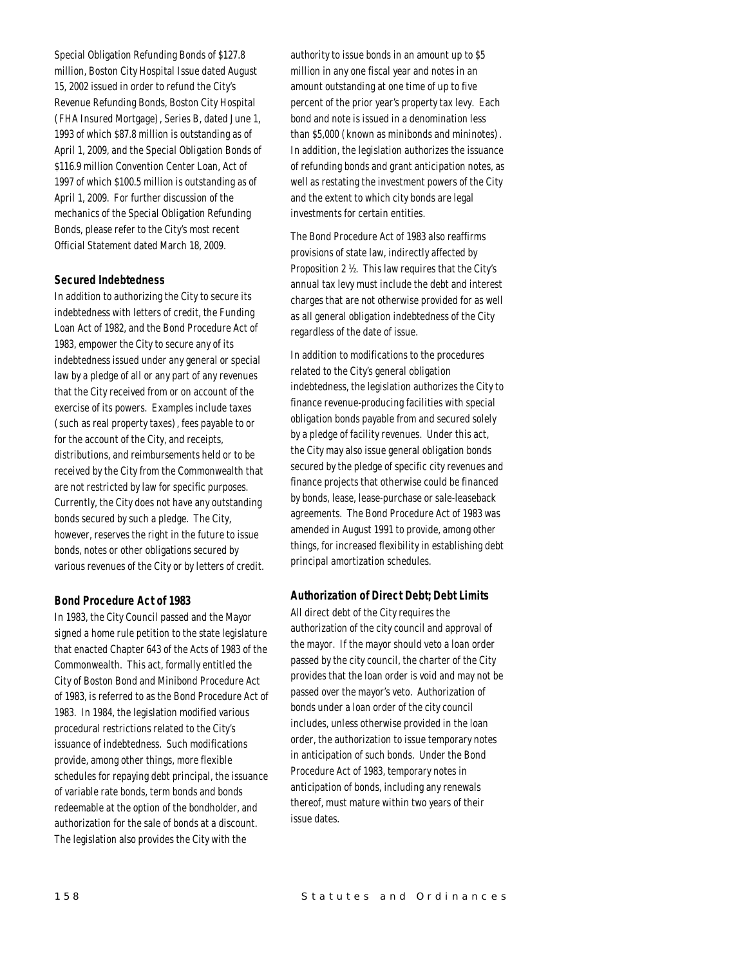Special Obligation Refunding Bonds of \$127.8 million, Boston City Hospital Issue dated August 15, 2002 issued in order to refund the City's Revenue Refunding Bonds, Boston City Hospital (FHA Insured Mortgage), Series B, dated June 1, 1993 of which \$87.8 million is outstanding as of April 1, 2009, and the Special Obligation Bonds of \$116.9 million Convention Center Loan, Act of 1997 of which \$100.5 million is outstanding as of April 1, 2009. For further discussion of the mechanics of the Special Obligation Refunding Bonds, please refer to the City's most recent Official Statement dated March 18, 2009.

## *Secured Indebtedness*

In addition to authorizing the City to secure its indebtedness with letters of credit, the Funding Loan Act of 1982, and the Bond Procedure Act of 1983, empower the City to secure any of its indebtedness issued under any general or special law by a pledge of all or any part of any revenues that the City received from or on account of the exercise of its powers. Examples include taxes (such as real property taxes), fees payable to or for the account of the City, and receipts, distributions, and reimbursements held or to be received by the City from the Commonwealth that are not restricted by law for specific purposes. Currently, the City does not have any outstanding bonds secured by such a pledge. The City, however, reserves the right in the future to issue bonds, notes or other obligations secured by various revenues of the City or by letters of credit.

## *Bond Procedure Act of 1983*

In 1983, the City Council passed and the Mayor signed a home rule petition to the state legislature that enacted Chapter 643 of the Acts of 1983 of the Commonwealth. This act, formally entitled the City of Boston Bond and Minibond Procedure Act of 1983, is referred to as the Bond Procedure Act of 1983. In 1984, the legislation modified various procedural restrictions related to the City's issuance of indebtedness. Such modifications provide, among other things, more flexible schedules for repaying debt principal, the issuance of variable rate bonds, term bonds and bonds redeemable at the option of the bondholder, and authorization for the sale of bonds at a discount. The legislation also provides the City with the

authority to issue bonds in an amount up to \$5 million in any one fiscal year and notes in an amount outstanding at one time of up to five percent of the prior year's property tax levy. Each bond and note is issued in a denomination less than \$5,000 (known as minibonds and mininotes). In addition, the legislation authorizes the issuance of refunding bonds and grant anticipation notes, as well as restating the investment powers of the City and the extent to which city bonds are legal investments for certain entities.

The Bond Procedure Act of 1983 also reaffirms provisions of state law, indirectly affected by Proposition 2 ½. This law requires that the City's annual tax levy must include the debt and interest charges that are not otherwise provided for as well as all general obligation indebtedness of the City regardless of the date of issue.

In addition to modifications to the procedures related to the City's general obligation indebtedness, the legislation authorizes the City to finance revenue-producing facilities with special obligation bonds payable from and secured solely by a pledge of facility revenues. Under this act, the City may also issue general obligation bonds secured by the pledge of specific city revenues and finance projects that otherwise could be financed by bonds, lease, lease-purchase or sale-leaseback agreements. The Bond Procedure Act of 1983 was amended in August 1991 to provide, among other things, for increased flexibility in establishing debt principal amortization schedules.

#### *Authorization of Direct Debt; Debt Limits*

All direct debt of the City requires the authorization of the city council and approval of the mayor. If the mayor should veto a loan order passed by the city council, the charter of the City provides that the loan order is void and may not be passed over the mayor's veto. Authorization of bonds under a loan order of the city council includes, unless otherwise provided in the loan order, the authorization to issue temporary notes in anticipation of such bonds. Under the Bond Procedure Act of 1983, temporary notes in anticipation of bonds, including any renewals thereof, must mature within two years of their issue dates.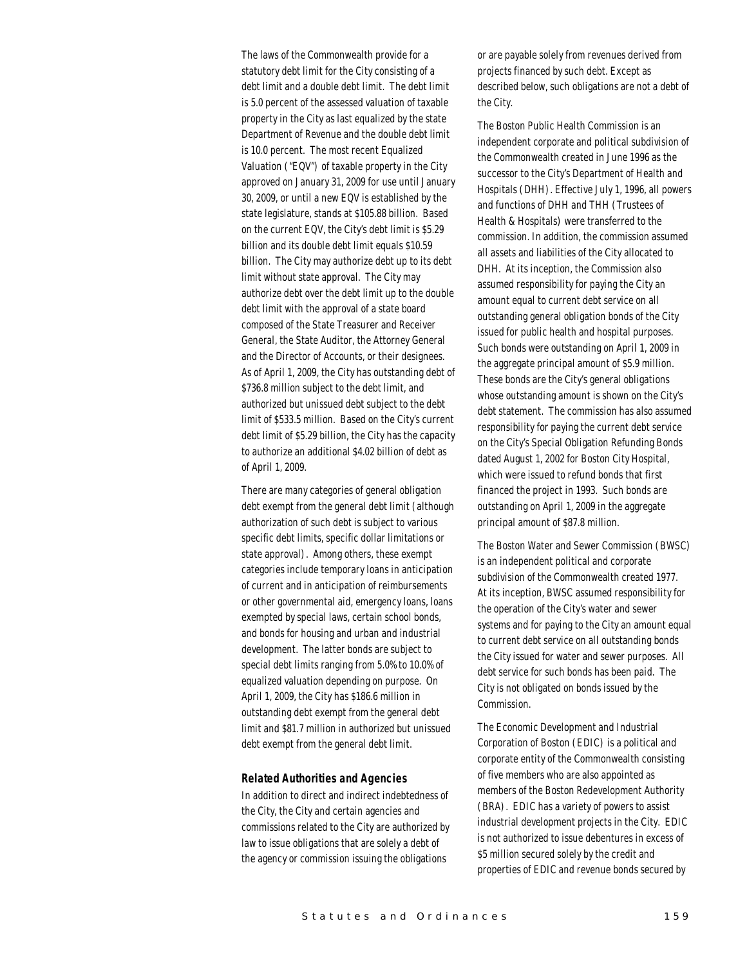The laws of the Commonwealth provide for a statutory debt limit for the City consisting of a debt limit and a double debt limit. The debt limit is 5.0 percent of the assessed valuation of taxable property in the City as last equalized by the state Department of Revenue and the double debt limit is 10.0 percent. The most recent Equalized Valuation ("EQV") of taxable property in the City approved on January 31, 2009 for use until January 30, 2009, or until a new EQV is established by the state legislature, stands at \$105.88 billion. Based on the current EQV, the City's debt limit is \$5.29 billion and its double debt limit equals \$10.59 billion. The City may authorize debt up to its debt limit without state approval. The City may authorize debt over the debt limit up to the double debt limit with the approval of a state board composed of the State Treasurer and Receiver General, the State Auditor, the Attorney General and the Director of Accounts, or their designees. As of April 1, 2009, the City has outstanding debt of \$736.8 million subject to the debt limit, and authorized but unissued debt subject to the debt limit of \$533.5 million. Based on the City's current debt limit of \$5.29 billion, the City has the capacity to authorize an additional \$4.02 billion of debt as of April 1, 2009.

There are many categories of general obligation debt exempt from the general debt limit (although authorization of such debt is subject to various specific debt limits, specific dollar limitations or state approval). Among others, these exempt categories include temporary loans in anticipation of current and in anticipation of reimbursements or other governmental aid, emergency loans, loans exempted by special laws, certain school bonds, and bonds for housing and urban and industrial development. The latter bonds are subject to special debt limits ranging from 5.0% to 10.0% of equalized valuation depending on purpose. On April 1, 2009, the City has \$186.6 million in outstanding debt exempt from the general debt limit and \$81.7 million in authorized but unissued debt exempt from the general debt limit.

#### *Related Authorities and Agencies*

In addition to direct and indirect indebtedness of the City, the City and certain agencies and commissions related to the City are authorized by law to issue obligations that are solely a debt of the agency or commission issuing the obligations

or are payable solely from revenues derived from projects financed by such debt. Except as described below, such obligations are not a debt of the City.

The Boston Public Health Commission is an independent corporate and political subdivision of the Commonwealth created in June 1996 as the successor to the City's Department of Health and Hospitals (DHH). Effective July 1, 1996, all powers and functions of DHH and THH (Trustees of Health & Hospitals) were transferred to the commission. In addition, the commission assumed all assets and liabilities of the City allocated to DHH. At its inception, the Commission also assumed responsibility for paying the City an amount equal to current debt service on all outstanding general obligation bonds of the City issued for public health and hospital purposes. Such bonds were outstanding on April 1, 2009 in the aggregate principal amount of \$5.9 million. These bonds are the City's general obligations whose outstanding amount is shown on the City's debt statement. The commission has also assumed responsibility for paying the current debt service on the City's Special Obligation Refunding Bonds dated August 1, 2002 for Boston City Hospital, which were issued to refund bonds that first financed the project in 1993. Such bonds are outstanding on April 1, 2009 in the aggregate principal amount of \$87.8 million.

The Boston Water and Sewer Commission (BWSC) is an independent political and corporate subdivision of the Commonwealth created 1977. At its inception, BWSC assumed responsibility for the operation of the City's water and sewer systems and for paying to the City an amount equal to current debt service on all outstanding bonds the City issued for water and sewer purposes. All debt service for such bonds has been paid. The City is not obligated on bonds issued by the Commission.

The Economic Development and Industrial Corporation of Boston (EDIC) is a political and corporate entity of the Commonwealth consisting of five members who are also appointed as members of the Boston Redevelopment Authority (BRA). EDIC has a variety of powers to assist industrial development projects in the City. EDIC is not authorized to issue debentures in excess of \$5 million secured solely by the credit and properties of EDIC and revenue bonds secured by